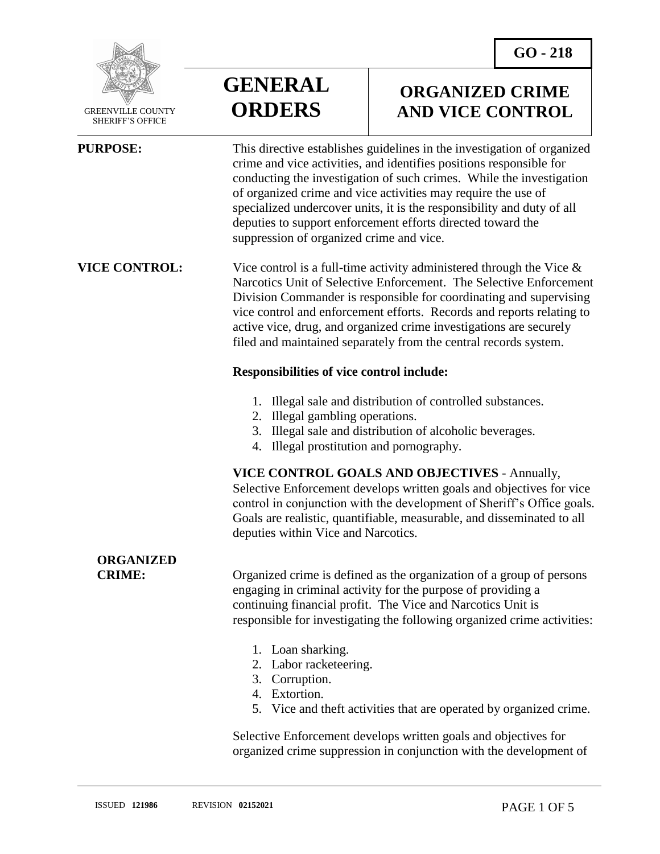

 GREENVILLE COUNTY SHERIFF'S OFFICE

 $\overline{a}$ 

**GENERAL ORDERS**

## **ORGANIZED CRIME AND VICE CONTROL**

**PURPOSE:** This directive establishes guidelines in the investigation of organized crime and vice activities, and identifies positions responsible for conducting the investigation of such crimes. While the investigation of organized crime and vice activities may require the use of specialized undercover units, it is the responsibility and duty of all deputies to support enforcement efforts directed toward the suppression of organized crime and vice.

**VICE CONTROL:** Vice control is a full-time activity administered through the Vice & Narcotics Unit of Selective Enforcement. The Selective Enforcement Division Commander is responsible for coordinating and supervising vice control and enforcement efforts. Records and reports relating to active vice, drug, and organized crime investigations are securely filed and maintained separately from the central records system.

### **Responsibilities of vice control include:**

- 1. Illegal sale and distribution of controlled substances.
- 2. Illegal gambling operations.
- 3. Illegal sale and distribution of alcoholic beverages.
- 4. Illegal prostitution and pornography.

#### **VICE CONTROL GOALS AND OBJECTIVES** - Annually,

Selective Enforcement develops written goals and objectives for vice control in conjunction with the development of Sheriff's Office goals. Goals are realistic, quantifiable, measurable, and disseminated to all deputies within Vice and Narcotics.

# **ORGANIZED**

**CRIME:** Organized crime is defined as the organization of a group of persons engaging in criminal activity for the purpose of providing a continuing financial profit. The Vice and Narcotics Unit is responsible for investigating the following organized crime activities:

- 1. Loan sharking.
- 2. Labor racketeering.
- 3. Corruption.
- 4. Extortion.
- 5. Vice and theft activities that are operated by organized crime.

Selective Enforcement develops written goals and objectives for organized crime suppression in conjunction with the development of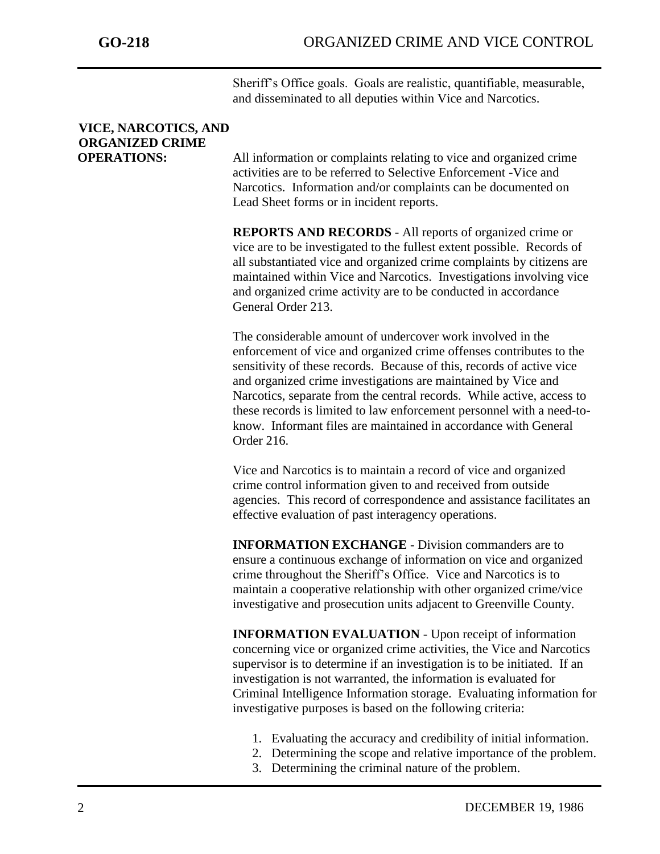Sheriff's Office goals. Goals are realistic, quantifiable, measurable, and disseminated to all deputies within Vice and Narcotics.

# **VICE, NARCOTICS, AND ORGANIZED CRIME**

**OPERATIONS:** All information or complaints relating to vice and organized crime activities are to be referred to Selective Enforcement -Vice and Narcotics. Information and/or complaints can be documented on Lead Sheet forms or in incident reports.

> **REPORTS AND RECORDS** - All reports of organized crime or vice are to be investigated to the fullest extent possible. Records of all substantiated vice and organized crime complaints by citizens are maintained within Vice and Narcotics. Investigations involving vice and organized crime activity are to be conducted in accordance General Order 213.

> The considerable amount of undercover work involved in the enforcement of vice and organized crime offenses contributes to the sensitivity of these records. Because of this, records of active vice and organized crime investigations are maintained by Vice and Narcotics, separate from the central records. While active, access to these records is limited to law enforcement personnel with a need-toknow. Informant files are maintained in accordance with General Order 216.

> Vice and Narcotics is to maintain a record of vice and organized crime control information given to and received from outside agencies. This record of correspondence and assistance facilitates an effective evaluation of past interagency operations.

**INFORMATION EXCHANGE** - Division commanders are to ensure a continuous exchange of information on vice and organized crime throughout the Sheriff's Office. Vice and Narcotics is to maintain a cooperative relationship with other organized crime/vice investigative and prosecution units adjacent to Greenville County.

**INFORMATION EVALUATION** - Upon receipt of information concerning vice or organized crime activities, the Vice and Narcotics supervisor is to determine if an investigation is to be initiated. If an investigation is not warranted, the information is evaluated for Criminal Intelligence Information storage. Evaluating information for investigative purposes is based on the following criteria:

- 1. Evaluating the accuracy and credibility of initial information.
- 2. Determining the scope and relative importance of the problem.
- 3. Determining the criminal nature of the problem.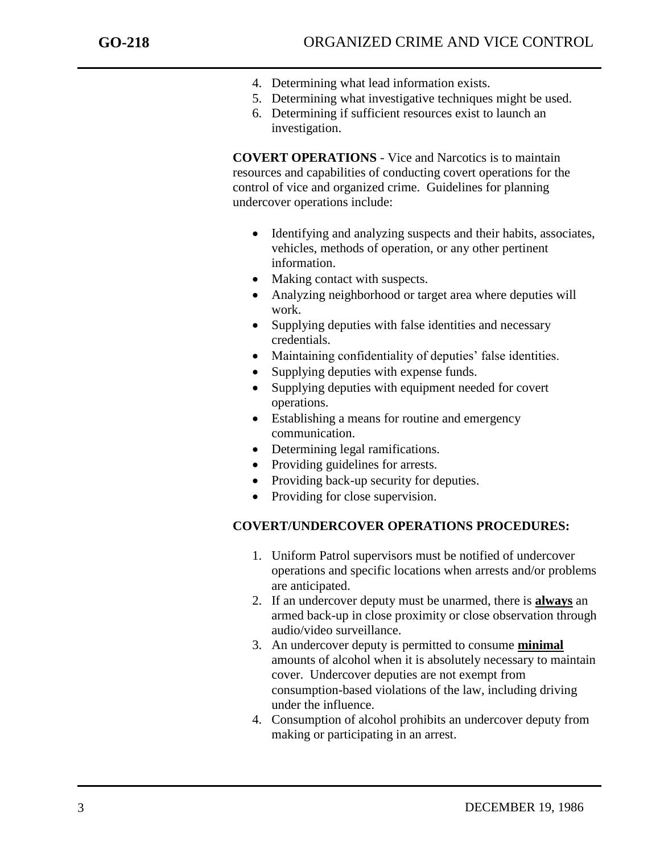- 4. Determining what lead information exists.
- 5. Determining what investigative techniques might be used.
- 6. Determining if sufficient resources exist to launch an investigation.

**COVERT OPERATIONS** - Vice and Narcotics is to maintain resources and capabilities of conducting covert operations for the control of vice and organized crime. Guidelines for planning undercover operations include:

- Identifying and analyzing suspects and their habits, associates, vehicles, methods of operation, or any other pertinent information.
- Making contact with suspects.
- Analyzing neighborhood or target area where deputies will work.
- Supplying deputies with false identities and necessary credentials.
- Maintaining confidentiality of deputies' false identities.
- Supplying deputies with expense funds.
- Supplying deputies with equipment needed for covert operations.
- Establishing a means for routine and emergency communication.
- Determining legal ramifications.
- Providing guidelines for arrests.
- Providing back-up security for deputies.
- Providing for close supervision.

### **COVERT/UNDERCOVER OPERATIONS PROCEDURES:**

- 1. Uniform Patrol supervisors must be notified of undercover operations and specific locations when arrests and/or problems are anticipated.
- 2. If an undercover deputy must be unarmed, there is **always** an armed back-up in close proximity or close observation through audio/video surveillance.
- 3. An undercover deputy is permitted to consume **minimal** amounts of alcohol when it is absolutely necessary to maintain cover. Undercover deputies are not exempt from consumption-based violations of the law, including driving under the influence.
- 4. Consumption of alcohol prohibits an undercover deputy from making or participating in an arrest.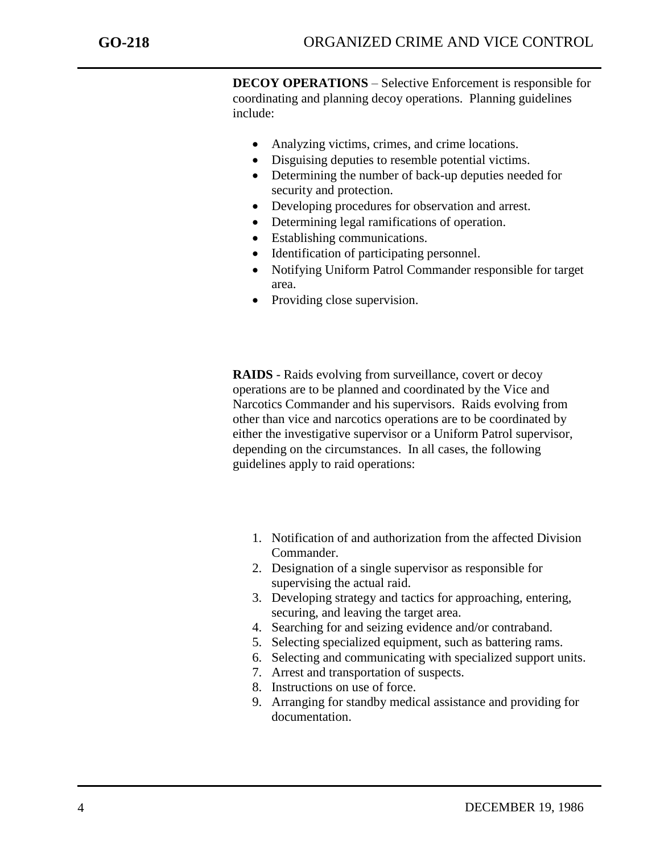**DECOY OPERATIONS** – Selective Enforcement is responsible for coordinating and planning decoy operations. Planning guidelines include:

- Analyzing victims, crimes, and crime locations.
- Disguising deputies to resemble potential victims.
- Determining the number of back-up deputies needed for security and protection.
- Developing procedures for observation and arrest.
- Determining legal ramifications of operation.
- Establishing communications.
- Identification of participating personnel.
- Notifying Uniform Patrol Commander responsible for target area.
- Providing close supervision.

**RAIDS** - Raids evolving from surveillance, covert or decoy operations are to be planned and coordinated by the Vice and Narcotics Commander and his supervisors. Raids evolving from other than vice and narcotics operations are to be coordinated by either the investigative supervisor or a Uniform Patrol supervisor, depending on the circumstances. In all cases, the following guidelines apply to raid operations:

- 1. Notification of and authorization from the affected Division Commander.
- 2. Designation of a single supervisor as responsible for supervising the actual raid.
- 3. Developing strategy and tactics for approaching, entering, securing, and leaving the target area.
- 4. Searching for and seizing evidence and/or contraband.
- 5. Selecting specialized equipment, such as battering rams.
- 6. Selecting and communicating with specialized support units.
- 7. Arrest and transportation of suspects.
- 8. Instructions on use of force.
- 9. Arranging for standby medical assistance and providing for documentation.